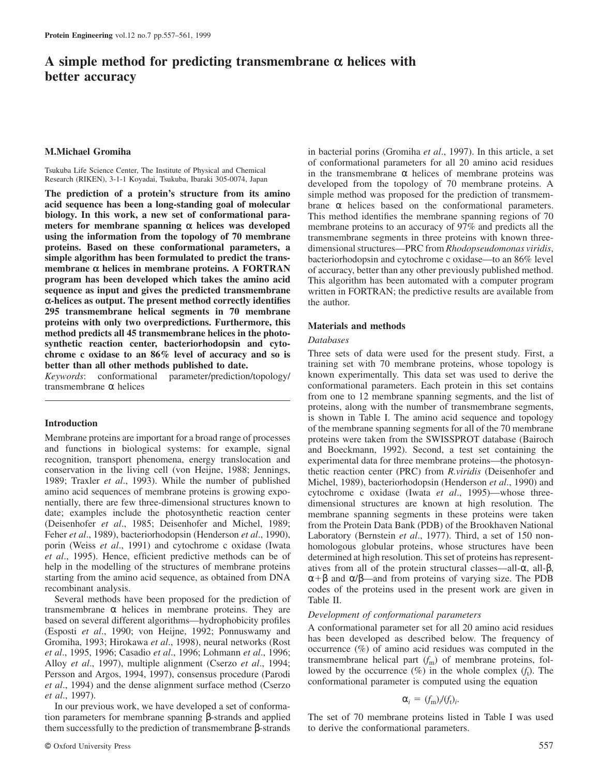# **A simple method for predicting transmembrane α helices with better accuracy**

# **M.Michael Gromiha**

Tsukuba Life Science Center, The Institute of Physical and Chemical Research (RIKEN), 3-1-1 Koyadai, Tsukuba, Ibaraki 305-0074, Japan

**The prediction of a protein's structure from its amino acid sequence has been a long-standing goal of molecular biology. In this work, a new set of conformational parameters for membrane spanning α helices was developed using the information from the topology of 70 membrane proteins. Based on these conformational parameters, a simple algorithm has been formulated to predict the transmembrane α helices in membrane proteins. A FORTRAN program has been developed which takes the amino acid sequence as input and gives the predicted transmembrane α-helices as output. The present method correctly identifies 295 transmembrane helical segments in 70 membrane proteins with only two overpredictions. Furthermore, this method predicts all 45 transmembrane helices in the photosynthetic reaction center, bacteriorhodopsin and cytochrome c oxidase to an 86% level of accuracy and so is better than all other methods published to date.**

*Keywords*: conformational parameter/prediction/topology/ transmembrane α helices

#### **Introduction**

Membrane proteins are important for a broad range of processes and functions in biological systems: for example, signal recognition, transport phenomena, energy translocation and conservation in the living cell (von Heijne, 1988; Jennings, 1989; Traxler *et al*., 1993). While the number of published amino acid sequences of membrane proteins is growing exponentially, there are few three-dimensional structures known to date; examples include the photosynthetic reaction center (Deisenhofer *et al*., 1985; Deisenhofer and Michel, 1989; Feher *et al*., 1989), bacteriorhodopsin (Henderson *et al*., 1990), porin (Weiss *et al*., 1991) and cytochrome c oxidase (Iwata *et al*., 1995). Hence, efficient predictive methods can be of help in the modelling of the structures of membrane proteins starting from the amino acid sequence, as obtained from DNA recombinant analysis.

Several methods have been proposed for the prediction of transmembrane  $\alpha$  helices in membrane proteins. They are based on several different algorithms—hydrophobicity profiles (Esposti *et al*., 1990; von Heijne, 1992; Ponnuswamy and Gromiha, 1993; Hirokawa *et al*., 1998), neural networks (Rost *et al*., 1995, 1996; Casadio *et al*., 1996; Lohmann *et al*., 1996; Alloy *et al*., 1997), multiple alignment (Cserzo *et al*., 1994; Persson and Argos, 1994, 1997), consensus procedure (Parodi *et al*., 1994) and the dense alignment surface method (Cserzo *et al*., 1997).

In our previous work, we have developed a set of conformation parameters for membrane spanning β-strands and applied them successfully to the prediction of transmembrane β-strands in bacterial porins (Gromiha *et al*., 1997). In this article, a set of conformational parameters for all 20 amino acid residues in the transmembrane  $\alpha$  helices of membrane proteins was developed from the topology of 70 membrane proteins. A simple method was proposed for the prediction of transmembrane α helices based on the conformational parameters. This method identifies the membrane spanning regions of 70 membrane proteins to an accuracy of 97% and predicts all the transmembrane segments in three proteins with known threedimensional structures—PRC from *Rhodopseudomonas viridis*, bacteriorhodopsin and cytochrome c oxidase—to an 86% level of accuracy, better than any other previously published method. This algorithm has been automated with a computer program written in FORTRAN; the predictive results are available from the author.

#### **Materials and methods**

# *Databases*

Three sets of data were used for the present study. First, a training set with 70 membrane proteins, whose topology is known experimentally. This data set was used to derive the conformational parameters. Each protein in this set contains from one to 12 membrane spanning segments, and the list of proteins, along with the number of transmembrane segments, is shown in Table I. The amino acid sequence and topology of the membrane spanning segments for all of the 70 membrane proteins were taken from the SWISSPROT database (Bairoch and Boeckmann, 1992). Second, a test set containing the experimental data for three membrane proteins—the photosynthetic reaction center (PRC) from *R.viridis* (Deisenhofer and Michel, 1989), bacteriorhodopsin (Henderson *et al*., 1990) and cytochrome c oxidase (Iwata *et al*., 1995)—whose threedimensional structures are known at high resolution. The membrane spanning segments in these proteins were taken from the Protein Data Bank (PDB) of the Brookhaven National Laboratory (Bernstein *et al*., 1977). Third, a set of 150 nonhomologous globular proteins, whose structures have been determined at high resolution. This set of proteins has representatives from all of the protein structural classes—all-α, all-β,  $\alpha+\beta$  and  $\alpha/\beta$ —and from proteins of varying size. The PDB codes of the proteins used in the present work are given in Table II.

#### *Development of conformational parameters*

A conformational parameter set for all 20 amino acid residues has been developed as described below. The frequency of occurrence (%) of amino acid residues was computed in the transmembrane helical part  $(f_m)$  of membrane proteins, followed by the occurrence  $(\%)$  in the whole complex  $(f_t)$ . The conformational parameter is computed using the equation

$$
\alpha_i = (f_m)_i/(f_t)_i.
$$

The set of 70 membrane proteins listed in Table I was used to derive the conformational parameters.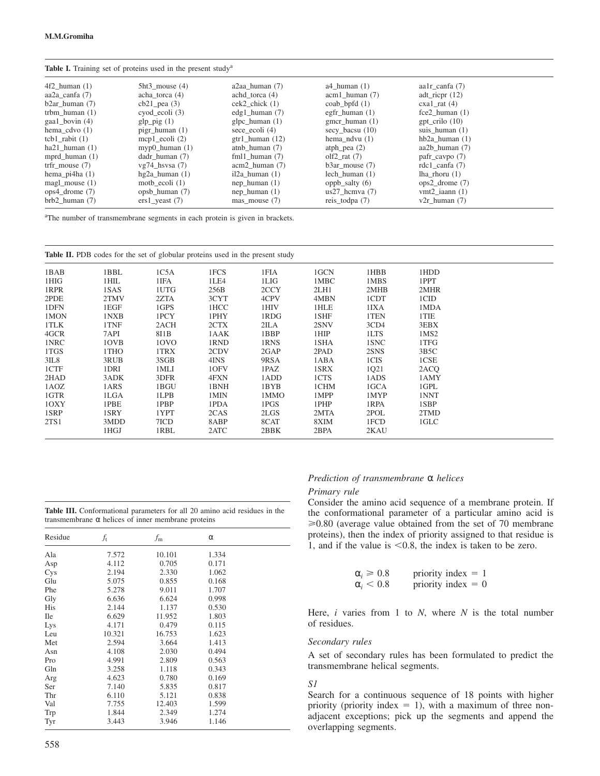|  | Table I. Training set of proteins used in the present study <sup>a</sup> |  |  |  |  |  |  |
|--|--------------------------------------------------------------------------|--|--|--|--|--|--|
|--|--------------------------------------------------------------------------|--|--|--|--|--|--|

| $5ht3$ mouse $(4)$  | $a2aa$ human $(7)$   | a4 human $(1)$      | aa $1r$ canfa $(7)$ |
|---------------------|----------------------|---------------------|---------------------|
| acha torca $(4)$    | achd torca $(4)$     | $acm1$ human $(7)$  | adt_ricpr $(12)$    |
| $cb21$ pea $(3)$    | $cek2$ chick $(1)$   | coab bpfd $(1)$     | $exal$ rat $(4)$    |
| cyod ecoli (3)      | edg1 human $(7)$     | egfr human $(1)$    | $fce2$ human $(1)$  |
| glp_pig $(1)$       | $glpc_h$ luman $(1)$ | $g$ mcr_human $(1)$ | $gpt\_crilo$ (10)   |
| pigr human $(1)$    | sece_ecoli $(4)$     | $secy_baccsu(10)$   | suis human $(1)$    |
| mcp1 $ecoli(2)$     | $gtr1$ human $(12)$  | hema_ndvu $(1)$     | hb $2a$ human $(1)$ |
| myp0 human $(1)$    | atnb human $(7)$     | atph_pea $(2)$      | aa $2b$ human $(7)$ |
| dadr human (7)      | fml1 human $(7)$     | olf2 rat $(7)$      | pafr_cavpo (7)      |
| $vg74$ hsvsa $(7)$  | $acm2$ human $(7)$   | $b3ar$ mouse $(7)$  | rdc1_canfa $(7)$    |
| hg $2a$ human $(1)$ | $i2a$ human $(1)$    | lech human $(1)$    | lha rhoru $(1)$     |
| moth_ecoli $(1)$    | nep human $(1)$      | oppb_salty $(6)$    | $ops2$ drome $(7)$  |
| opsb human (7)      | nep human $(1)$      | $us27$ hcmva $(7)$  | vmt2 iaann $(1)$    |
| $ers1$ yeast (7)    | mas mouse $(7)$      | reis_todpa $(7)$    | $v2r$ human $(7)$   |
|                     |                      |                     |                     |

<sup>a</sup>The number of transmembrane segments in each protein is given in brackets.

| <b>Table II.</b> PDB codes for the set of globular proteins used in the present study |      |      |      |      |      |      |      |  |
|---------------------------------------------------------------------------------------|------|------|------|------|------|------|------|--|
| 1BAB                                                                                  | 1BBL | 1C5A | 1FCS | 1FIA | 1GCN | 1HBB | 1HDD |  |
| 1HIG                                                                                  | 1HIL | 1IFA | 1LE4 | 1LIG | 1MBC | 1MBS | 1PPT |  |
| 1RPR                                                                                  | 1SAS | 1UTG | 256B | 2CCY | 2LH1 | 2MHB | 2MHR |  |
| 2PDE                                                                                  | 2TMV | 2ZTA | 3CYT | 4CPV | 4MBN | 1CDT | 1CID |  |
| 1DFN                                                                                  | 1EGF | 1GPS | 1HCC | 1HIV | 1HLE | 1IXA | 1MDA |  |
| 1MON                                                                                  | 1NXB | 1PCY | 1PHY | 1RDG | 1SHF | 1TEN | 1TIE |  |
| 1TLK                                                                                  | 1TNF | 2ACH | 2CTX | 2ILA | 2SNV | 3CD4 | 3EBX |  |
| 4GCR                                                                                  | 7API | 811B | 1AAK | 1BBP | 1HIP | 1LTS | 1MS2 |  |
| 1NRC                                                                                  | 10VB | 10VO | 1RND | 1RNS | 1SHA | 1SNC | 1TFG |  |
| 1TGS                                                                                  | 1THO | 1TRX | 2CDV | 2GAP | 2PAD | 2SNS | 3B5C |  |
| 3IL8                                                                                  | 3RUB | 3SGB | 4INS | 9RSA | 1ABA | 1CIS | 1CSE |  |
| 1CTF                                                                                  | 1DRI | 1MLI | 10FV | 1PAZ | 1SRX | 1Q21 | 2ACQ |  |
| 2HAD                                                                                  | 3ADK | 3DFR | 4FXN | 1ADD | 1CTS | 1ADS | 1AMY |  |
| 1AOZ                                                                                  | 1ARS | 1BGU | 1BNH | 1BYB | 1CHM | 1GCA | 1GPL |  |
| 1GTR                                                                                  | 1LGA | 1LPB | 1MIN | 1MMO | 1MPP | 1MYP | 1NNT |  |
| 10XY                                                                                  | 1PBE | 1PBP | 1PDA | 1PGS | 1PHP | 1RPA | 1SBP |  |
| 1SRP                                                                                  | 1SRY | 1YPT | 2CAS | 2LGS | 2MTA | 2POL | 2TMD |  |
| 2TS1                                                                                  | 3MDD | 7ICD | 8ABP | 8CAT | 8XIM | 1FCD | 1GLC |  |
|                                                                                       | 1HGI | 1RBL | 2ATC | 2BBK | 2BPA | 2KAU |      |  |

| Table III. Conformational parameters for all 20 amino acid residues in the |  |  |  |
|----------------------------------------------------------------------------|--|--|--|
| transmembrane $\alpha$ helices of inner membrane proteins                  |  |  |  |

| Residue    | $f_{\rm t}$ | $f_{\rm m}$ | α     |  |
|------------|-------------|-------------|-------|--|
| Ala        | 7.572       | 10.101      | 1.334 |  |
| Asp        | 4.112       | 0.705       | 0.171 |  |
| Cys        | 2.194       | 2.330       | 1.062 |  |
| Glu        | 5.075       | 0.855       | 0.168 |  |
| Phe        | 5.278       | 9.011       | 1.707 |  |
| Gly        | 6.636       | 6.624       | 0.998 |  |
| His        | 2.144       | 1.137       | 0.530 |  |
| <b>Ile</b> | 6.629       | 11.952      | 1.803 |  |
| Lys        | 4.171       | 0.479       | 0.115 |  |
| Leu        | 10.321      | 16.753      | 1.623 |  |
| Met        | 2.594       | 3.664       | 1.413 |  |
| Asn        | 4.108       | 2.030       | 0.494 |  |
| Pro        | 4.991       | 2.809       | 0.563 |  |
| Gln        | 3.258       | 1.118       | 0.343 |  |
| Arg        | 4.623       | 0.780       | 0.169 |  |
| Ser        | 7.140       | 5.835       | 0.817 |  |
| Thr        | 6.110       | 5.121       | 0.838 |  |
| Val        | 7.755       | 12.403      | 1.599 |  |
| Trp        | 1.844       | 2.349       | 1.274 |  |
| Tyr        | 3.443       | 3.946       | 1.146 |  |

# *Prediction of transmembrane* α *helices*

#### *Primary rule*

Consider the amino acid sequence of a membrane protein. If the conformational parameter of a particular amino acid is  $\geq 0.80$  (average value obtained from the set of 70 membrane proteins), then the index of priority assigned to that residue is 1, and if the value is  $\leq 0.8$ , the index is taken to be zero.

| $\alpha_i \geqslant 0.8$ | priority index $= 1$ |  |  |
|--------------------------|----------------------|--|--|
| $\alpha_i < 0.8$         | priority index $= 0$ |  |  |

Here, *i* varies from 1 to *N*, where *N* is the total number of residues.

#### *Secondary rules*

A set of secondary rules has been formulated to predict the transmembrane helical segments.

# *S1*

Search for a continuous sequence of 18 points with higher priority (priority index  $= 1$ ), with a maximum of three nonadjacent exceptions; pick up the segments and append the overlapping segments.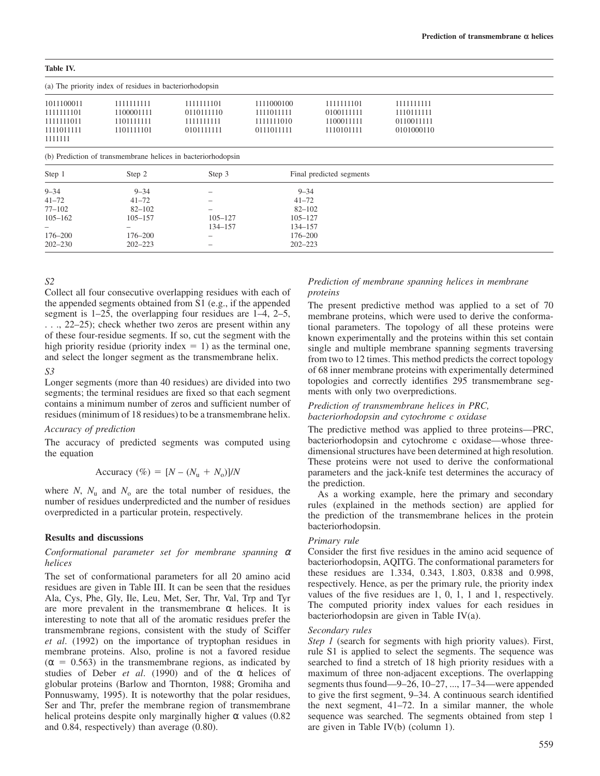**Table IV.**

| Table TV.                                               |            |            |            |            |            |  |  |
|---------------------------------------------------------|------------|------------|------------|------------|------------|--|--|
| (a) The priority index of residues in bacteriorhodopsin |            |            |            |            |            |  |  |
| 1011100011                                              | 1111111111 | 1111111101 | 1111000100 | 1111111101 | 1111111111 |  |  |
| 1111111101                                              | 1100001111 | 0110111110 | 1111011111 | 0100111111 | 1110111111 |  |  |
| 1111111011                                              | 1101111111 | 1111111111 | 1111111010 | 1100011111 | 0110011111 |  |  |
| 1111011111                                              | 1101111101 | 0101111111 | 0111011111 | 1110101111 | 0101000110 |  |  |
| 1111111                                                 |            |            |            |            |            |  |  |

(b) Prediction of transmembrane helices in bacteriorhodopsin

| Step 1                   | Step 2                   | Step 3                   | Final predicted segments |  |
|--------------------------|--------------------------|--------------------------|--------------------------|--|
| $9 - 34$                 | $9 - 34$                 | $\overline{\phantom{m}}$ | $9 - 34$                 |  |
| $41 - 72$                | $41 - 72$                | $\qquad \qquad$          | $41 - 72$                |  |
| $77 - 102$               | $82 - 102$               | $\overline{\phantom{m}}$ | $82 - 102$               |  |
| $105 - 162$              | $105 - 157$              | $105 - 127$              | $105 - 127$              |  |
| $\overline{\phantom{0}}$ | $\overline{\phantom{a}}$ | 134-157                  | 134-157                  |  |
| 176-200                  | $176 - 200$              | $\overline{\phantom{m}}$ | 176–200                  |  |
| $202 - 230$              | $202 - 223$              | $\overline{\phantom{m}}$ | $202 - 223$              |  |

# *S2*

Collect all four consecutive overlapping residues with each of the appended segments obtained from S1 (e.g., if the appended segment is 1–25, the overlapping four residues are 1–4, 2–5, . . ., 22–25); check whether two zeros are present within any of these four-residue segments. If so, cut the segment with the high priority residue (priority index  $= 1$ ) as the terminal one, and select the longer segment as the transmembrane helix.

# *S3*

Longer segments (more than 40 residues) are divided into two segments; the terminal residues are fixed so that each segment contains a minimum number of zeros and sufficient number of residues (minimum of 18 residues) to be a transmembrane helix.

# *Accuracy of prediction*

The accuracy of predicted segments was computed using the equation

$$
Accuracy (\%) = [N - (Nu + No)]/N
$$

where *N*,  $N_u$  and  $N_o$  are the total number of residues, the number of residues underpredicted and the number of residues overpredicted in a particular protein, respectively.

#### **Results and discussions**

# *Conformational parameter set for membrane spanning* <sup>α</sup> *helices*

The set of conformational parameters for all 20 amino acid residues are given in Table III. It can be seen that the residues Ala, Cys, Phe, Gly, Ile, Leu, Met, Ser, Thr, Val, Trp and Tyr are more prevalent in the transmembrane  $\alpha$  helices. It is interesting to note that all of the aromatic residues prefer the transmembrane regions, consistent with the study of Sciffer *et al*. (1992) on the importance of tryptophan residues in membrane proteins. Also, proline is not a favored residue  $(\alpha = 0.563)$  in the transmembrane regions, as indicated by studies of Deber *et al*. (1990) and of the α helices of globular proteins (Barlow and Thornton, 1988; Gromiha and Ponnuswamy, 1995). It is noteworthy that the polar residues, Ser and Thr, prefer the membrane region of transmembrane helical proteins despite only marginally higher  $\alpha$  values (0.82) and 0.84, respectively) than average (0.80).

# *Prediction of membrane spanning helices in membrane proteins*

The present predictive method was applied to a set of 70 membrane proteins, which were used to derive the conformational parameters. The topology of all these proteins were known experimentally and the proteins within this set contain single and multiple membrane spanning segments traversing from two to 12 times. This method predicts the correct topology of 68 inner membrane proteins with experimentally determined topologies and correctly identifies 295 transmembrane segments with only two overpredictions.

#### *Prediction of transmembrane helices in PRC, bacteriorhodopsin and cytochrome c oxidase*

The predictive method was applied to three proteins—PRC, bacteriorhodopsin and cytochrome c oxidase—whose threedimensional structures have been determined at high resolution. These proteins were not used to derive the conformational parameters and the jack-knife test determines the accuracy of the prediction.

As a working example, here the primary and secondary rules (explained in the methods section) are applied for the prediction of the transmembrane helices in the protein bacteriorhodopsin.

#### *Primary rule*

Consider the first five residues in the amino acid sequence of bacteriorhodopsin, AQITG. The conformational parameters for these residues are 1.334, 0.343, 1.803, 0.838 and 0.998, respectively. Hence, as per the primary rule, the priority index values of the five residues are 1, 0, 1, 1 and 1, respectively. The computed priority index values for each residues in bacteriorhodopsin are given in Table IV(a).

#### *Secondary rules*

*Step 1* (search for segments with high priority values). First, rule S1 is applied to select the segments. The sequence was searched to find a stretch of 18 high priority residues with a maximum of three non-adjacent exceptions. The overlapping segments thus found—9–26, 10–27, ..., 17–34—were appended to give the first segment, 9–34. A continuous search identified the next segment, 41–72. In a similar manner, the whole sequence was searched. The segments obtained from step 1 are given in Table IV(b) (column 1).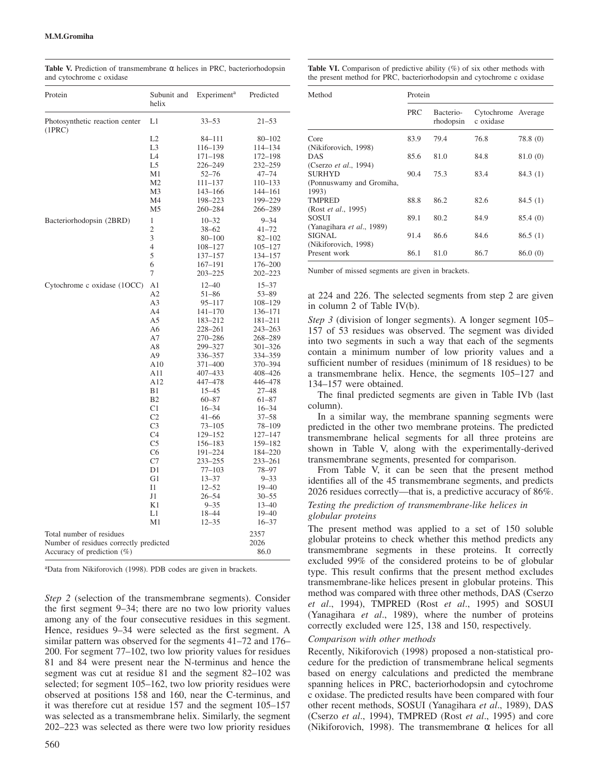| Protein                                                                                             | Subunit and<br>helix                                                                                                                                                                                                                                        | Experiment <sup>a</sup>                                                                                                                                                                                                                                                                                                                          | Predicted                                                                                                                                                                                                                                                                                                                            |
|-----------------------------------------------------------------------------------------------------|-------------------------------------------------------------------------------------------------------------------------------------------------------------------------------------------------------------------------------------------------------------|--------------------------------------------------------------------------------------------------------------------------------------------------------------------------------------------------------------------------------------------------------------------------------------------------------------------------------------------------|--------------------------------------------------------------------------------------------------------------------------------------------------------------------------------------------------------------------------------------------------------------------------------------------------------------------------------------|
| Photosynthetic reaction center<br>(1PRC)                                                            | L1                                                                                                                                                                                                                                                          | $33 - 53$                                                                                                                                                                                                                                                                                                                                        | $21 - 53$                                                                                                                                                                                                                                                                                                                            |
|                                                                                                     | L2<br>L <sub>3</sub><br>L <sub>4</sub><br>L <sub>5</sub><br>M <sub>1</sub><br>M <sub>2</sub><br>M <sub>3</sub><br>M4<br>M <sub>5</sub>                                                                                                                      | 84-111<br>116-139<br>171-198<br>226–249<br>$52 - 76$<br>111-137<br>143-166<br>198-223                                                                                                                                                                                                                                                            | $80 - 102$<br>114-134<br>172-198<br>232–259<br>$47 - 74$<br>110-133<br>144-161<br>199–229                                                                                                                                                                                                                                            |
| Bacteriorhodopsin (2BRD)                                                                            | $\mathbf{1}$<br>$\mathfrak{2}$<br>3<br>$\overline{4}$<br>5<br>6<br>7                                                                                                                                                                                        | 260–284<br>$10 - 32$<br>$38 - 62$<br>$80 - 100$<br>108-127<br>137-157<br>167-191<br>$203 - 225$                                                                                                                                                                                                                                                  | 266–289<br>$9 - 34$<br>$41 - 72$<br>$82 - 102$<br>$105 - 127$<br>134-157<br>176-200<br>$202 - 223$                                                                                                                                                                                                                                   |
| Cytochrome c oxidase (1OCC)                                                                         | A1<br>A2<br>A3<br>A4<br>A5<br>A6<br>A7<br>A8<br>A9<br>A10<br>A11<br>A12<br>B1<br>B <sub>2</sub><br>C <sub>1</sub><br>C <sub>2</sub><br>C <sub>3</sub><br>C <sub>4</sub><br>C <sub>5</sub><br>C6<br>C7<br>D1<br>G1<br>Ι1<br>J1<br>K1<br>L1<br>M <sub>1</sub> | $12 - 40$<br>$51 - 86$<br>$95 - 117$<br>$141 - 170$<br>183-212<br>228-261<br>270-286<br>299-327<br>336-357<br>371-400<br>407-433<br>447-478<br>$15 - 45$<br>$60 - 87$<br>$16 - 34$<br>$41 - 66$<br>$73 - 105$<br>129-152<br>156-183<br>191-224<br>233-255<br>$77 - 103$<br>$13 - 37$<br>$12 - 52$<br>$26 - 54$<br>$9 - 35$<br>18-44<br>$12 - 35$ | $15 - 37$<br>$53 - 89$<br>108–129<br>136-171<br>181-211<br>$243 - 263$<br>268-289<br>301-326<br>334-359<br>370-394<br>408-426<br>446-478<br>27-48<br>$61 - 87$<br>$16 - 34$<br>$37 - 58$<br>78-109<br>127-147<br>159-182<br>184-220<br>233-261<br>78-97<br>$9 - 33$<br>$19 - 40$<br>$30 - 55$<br>$13 - 40$<br>$19 - 40$<br>$16 - 37$ |
| Total number of residues<br>Number of residues correctly predicted<br>Accuracy of prediction $(\%)$ |                                                                                                                                                                                                                                                             |                                                                                                                                                                                                                                                                                                                                                  | 2357<br>2026<br>86.0                                                                                                                                                                                                                                                                                                                 |

**Table V.** Prediction of transmembrane  $\alpha$  helices in PRC, bacteriorhodopsin and cytochrome c oxidase

<sup>a</sup>Data from Nikiforovich (1998). PDB codes are given in brackets.

*Step 2* (selection of the transmembrane segments). Consider the first segment 9–34; there are no two low priority values among any of the four consecutive residues in this segment. Hence, residues 9–34 were selected as the first segment. A similar pattern was observed for the segments 41–72 and 176– 200. For segment 77–102, two low priority values for residues 81 and 84 were present near the N-terminus and hence the segment was cut at residue 81 and the segment 82–102 was selected; for segment 105–162, two low priority residues were observed at positions 158 and 160, near the C-terminus, and it was therefore cut at residue 157 and the segment 105–157 was selected as a transmembrane helix. Similarly, the segment 202–223 was selected as there were two low priority residues

| <b>Table VI.</b> Comparison of predictive ability $(\%)$ of six other methods with |
|------------------------------------------------------------------------------------|
| the present method for PRC, bacteriorhodopsin and cytochrome c oxidase             |

| Method                                      | Protein    |                        |                                 |          |  |  |
|---------------------------------------------|------------|------------------------|---------------------------------|----------|--|--|
|                                             | <b>PRC</b> | Bacterio-<br>rhodopsin | Cytochrome Average<br>c oxidase |          |  |  |
| Core<br>(Nikiforovich, 1998)                | 83.9       | 79.4                   | 76.8                            | 78.8 (0) |  |  |
| <b>DAS</b><br>(Cserzo <i>et al.</i> , 1994) | 85.6       | 81.0                   | 84.8                            | 81.0 (0) |  |  |
| <b>SURHYD</b>                               | 90.4       | 75.3                   | 83.4                            | 84.3 (1) |  |  |
| (Ponnuswamy and Gromiha,<br>1993)           |            |                        |                                 |          |  |  |
| <b>TMPRED</b>                               | 88.8       | 86.2                   | 82.6                            | 84.5(1)  |  |  |
| (Rost et al., 1995)<br><b>SOSUI</b>         | 89.1       | 80.2                   | 84.9                            | 85.4 (0) |  |  |
| (Yanagihara et al., 1989)<br>SIGNAL         | 91.4       | 86.6                   | 84.6                            | 86.5(1)  |  |  |
| (Nikiforovich, 1998)<br>Present work        | 86.1       | 81.0                   | 86.7                            | 86.0 (0) |  |  |

Number of missed segments are given in brackets.

at 224 and 226. The selected segments from step 2 are given in column 2 of Table IV(b).

*Step 3* (division of longer segments). A longer segment 105– 157 of 53 residues was observed. The segment was divided into two segments in such a way that each of the segments contain a minimum number of low priority values and a sufficient number of residues (minimum of 18 residues) to be a transmembrane helix. Hence, the segments 105–127 and 134–157 were obtained.

The final predicted segments are given in Table IVb (last column).

In a similar way, the membrane spanning segments were predicted in the other two membrane proteins. The predicted transmembrane helical segments for all three proteins are shown in Table V, along with the experimentally-derived transmembrane segments, presented for comparison.

From Table V, it can be seen that the present method identifies all of the 45 transmembrane segments, and predicts 2026 residues correctly—that is, a predictive accuracy of 86%.

# *Testing the prediction of transmembrane-like helices in globular proteins*

The present method was applied to a set of 150 soluble globular proteins to check whether this method predicts any transmembrane segments in these proteins. It correctly excluded 99% of the considered proteins to be of globular type. This result confirms that the present method excludes transmembrane-like helices present in globular proteins. This method was compared with three other methods, DAS (Cserzo *et al*., 1994), TMPRED (Rost *et al*., 1995) and SOSUI (Yanagihara *et al*., 1989), where the number of proteins correctly excluded were 125, 138 and 150, respectively.

#### *Comparison with other methods*

Recently, Nikiforovich (1998) proposed a non-statistical procedure for the prediction of transmembrane helical segments based on energy calculations and predicted the membrane spanning helices in PRC, bacteriorhodopsin and cytochrome c oxidase. The predicted results have been compared with four other recent methods, SOSUI (Yanagihara *et al*., 1989), DAS (Cserzo *et al*., 1994), TMPRED (Rost *et al*., 1995) and core (Nikiforovich, 1998). The transmembrane  $\alpha$  helices for all